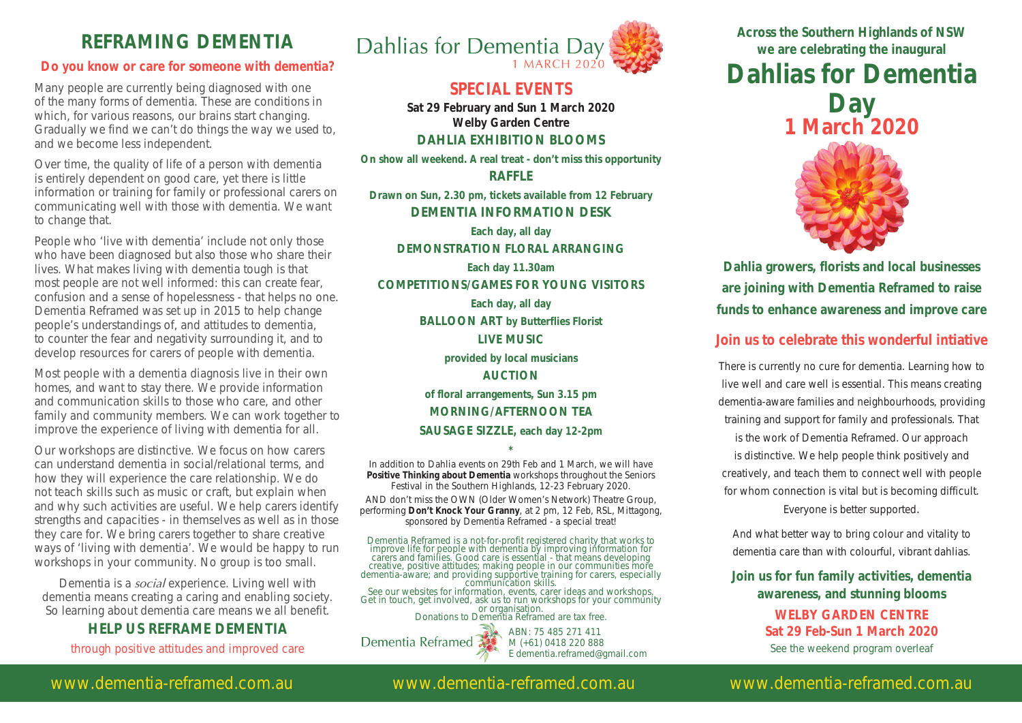### **REFRAMING DEMENTIA**

#### **Do you know or care for someone with dementia?**

Many people are currently being diagnosed with one of the many forms of dementia. These are conditions in which, for various reasons, our brains start changing. Gradually we find we can't do things the way we used to, and we become less independent.

Over time, the quality of life of a person with dementia is entirely dependent on good care, yet there is little information or training for family or professional carers on communicating well with those with dementia. We want to change that.

People who 'live with dementia' include not only those who have been diagnosed but also those who share their lives. What makes living with dementia tough is that most people are not well informed: this can create fear, confusion and a sense of hopelessness - that helps no one. Dementia Reframed was set up in 2015 to help change people's understandings of, and attitudes to dementia, to counter the fear and negativity surrounding it, and to develop resources for carers of people with dementia.

Most people with a dementia diagnosis live in their own homes, and want to stay there. We provide information and communication skills to those who care, and other family and community members. We can work together to improve the experience of living with dementia for all.

Our workshops are distinctive. We focus on how carers can understand dementia in social/relational terms, and how they will experience the care relationship. We do not teach skills such as music or craft, but explain when and why such activities are useful. We help carers identify strengths and capacities - in themselves as well as in those they care for. We bring carers together to share creative ways of 'living with dementia'. We would be happy to run workshops in your community. No group is too small.

Dementia is a *social* experience. Living well with dementia means creating a caring and enabling society. So learning about dementia care means we all benefit.

#### **HELP US REFRAME DEMENTIA**

through positive attitudes and improved care



#### **SPECIAL EVENTS**

**Sat 29 February and Sun 1 March 2020 Welby Garden Centre DAHLIA EXHIBITION BLOOMS** 

**On show all weekend. A real treat - don't miss this opportunity**

**RAFFLE Drawn on Sun, 2.30 pm, tickets available from 12 February DEMENTIA INFORMATION DESK Each day, all day DEMONSTRATION FLORAL ARRANGING Each day 11.30am COMPETITIONS/GAMES FOR YOUNG VISITORS Each day, all day BALLOON ART by Butterflies Florist LIVE MUSIC provided by local musicians AUCTION of floral arrangements, Sun 3.15 pm MORNING/AFTERNOON TEA SAUSAGE SIZZLE, each day 12-2pm**

**\*** In addition to Dahlia events on 29th Feb and 1 March, we will have **Positive Thinking about Dementia** workshops throughout the Seniors Festival in the Southern Highlands, 12-23 February 2020.

AND don't miss the OWN (Older Women's Network) Theatre Group, performing **Don't Knock Your Granny**, at 2 pm, 12 Feb, RSL, Mittagong, sponsored by Dementia Reframed - a special treat!

Dementia Reframed is a not-for-profit registered charity that works to improve life for people with dementia by improving information for carers and families. Good care is essential - that means developing creative, positive attitudes; making people in our communities more<br>dementia-aware; and providing supportive training for carers, especially<br>communication skills.<br>See our websites for information, events, carer ideas and w

Dementia Reframed

ABN: 75 485 271 411 M (+61) 0418 220 888 E dementia.reframed@gmail.com

**Across the Southern Highlands of NSW we are celebrating the inaugural Dahlias for Dementia Day 1 March 2020**



**Dahlia growers, florists and local businesses are joining with Dementia Reframed to raise funds to enhance awareness and improve care** 

#### **Join us to celebrate this wonderful intiative**

There is currently no cure for dementia. Learning how to live well and care well is essential. This means creating dementia-aware families and neighbourhoods, providing training and support for family and professionals. That is the work of Dementia Reframed. Our approach is distinctive. We help people think positively and creatively, and teach them to connect well with people for whom connection is vital but is becoming difficult. Everyone is better supported.

And what better way to bring colour and vitality to dementia care than with colourful, vibrant dahlias.

**Join us for fun family activities, dementia awareness, and stunning blooms**

> **WELBY GARDEN CENTRE Sat 29 Feb-Sun 1 March 2020** See the weekend program overleaf

#### www.dementia-reframed.com.au www.dementia-reframed.com.au www.dementia-reframed.com.au